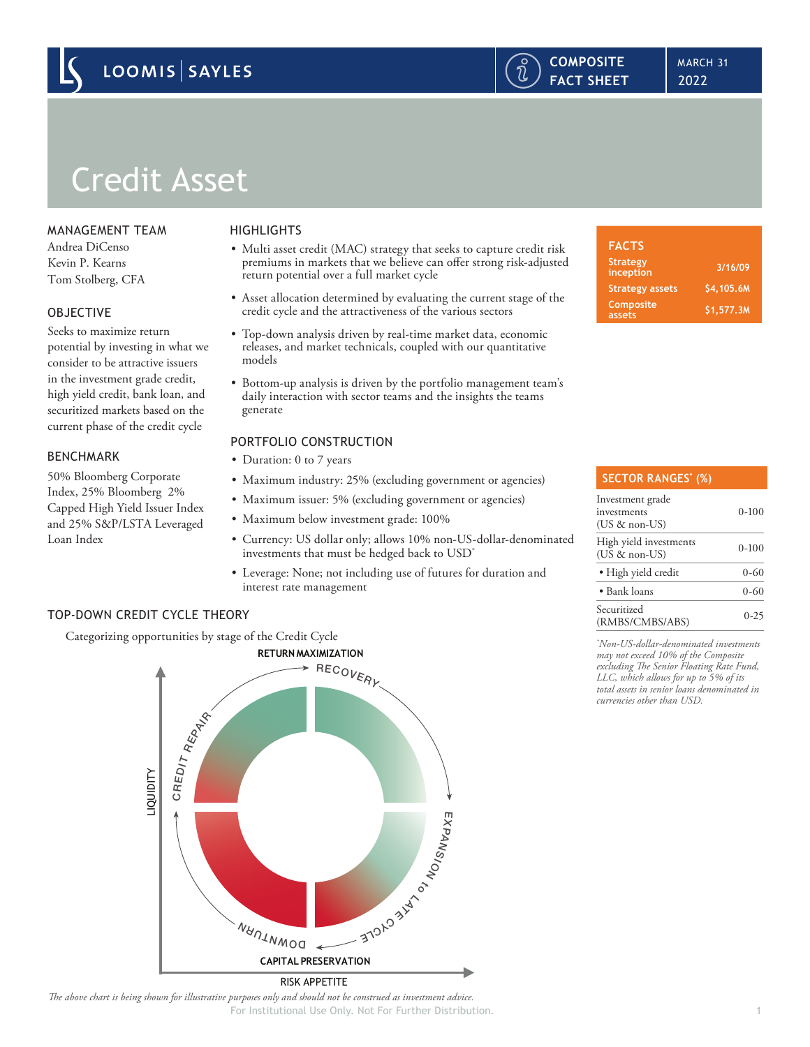# Credit Asset

### MANAGEMENT TEAM

Kevin P. Kearns Tom Stolberg, CFA Andrea DiCenso

# OBJECTIVE

Seeks to maximize return potential by investing in what we consider to be attractive issuers in the investment grade credit, high yield credit, bank loan, and securitized markets based on the current phase of the credit cycle

# BENCHMARK

50% Bloomberg Corporate Index, 25% Bloomberg 2% Capped High Yield Issuer Index and 25% S&P/LSTA Leveraged Loan Index

# **HIGHLIGHTS**

- Multi asset credit (MAC) strategy that seeks to capture credit risk premiums in markets that we believe can offer strong risk-adjusted return potential over a full market cycle
- Asset allocation determined by evaluating the current stage of the credit cycle and the attractiveness of the various sectors
- Top-down analysis driven by real-time market data, economic releases, and market technicals, coupled with our quantitative models
- Bottom-up analysis is driven by the portfolio management team's daily interaction with sector teams and the insights the teams generate

# PORTFOLIO CONSTRUCTION

- Duration: 0 to 7 years
- Maximum industry: 25% (excluding government or agencies)
- Maximum issuer: 5% (excluding government or agencies)
- Maximum below investment grade: 100%
- Currency: US dollar only; allows 10% non-US-dollar-denominated investments that must be hedged back to USD\*
- Leverage: None; not including use of futures for duration and interest rate management

# TOP-DOWN CREDIT CYCLE THEORY

Categorizing opportunities by stage of the Credit Cycle



For Institutional Use Only. Not For Further Distribution. 1 *The above chart is being shown for illustrative purposes only and should not be construed as investment advice.*

| <b>FACTS</b>                 |            |
|------------------------------|------------|
| <b>Strategy</b><br>inception | 3/16/09    |
| <b>Strategy assets</b>       | \$4,105.6M |
| <b>Composite</b><br>assets   | \$1,577.3M |

| <b>SECTOR RANGES' (%)</b>                          |          |
|----------------------------------------------------|----------|
| Investment grade<br>investments<br>(US $&$ non-US) | $0-100$  |
| High yield investments<br>(US $&$ non-US)          | $0-100$  |
| • High yield credit                                | $0 - 60$ |
| $\bullet$ Bank loans                               | $0 - 60$ |
| Securitized<br>(RMBS/CMBS/ABS)                     | $0 - 25$ |

*\* Non-US-dollar-denominated investments may not exceed 10% of the Composite excluding The Senior Floating Rate Fund, LLC, which allows for up to 5% of its total assets in senior loans denominated in currencies other than USD.*